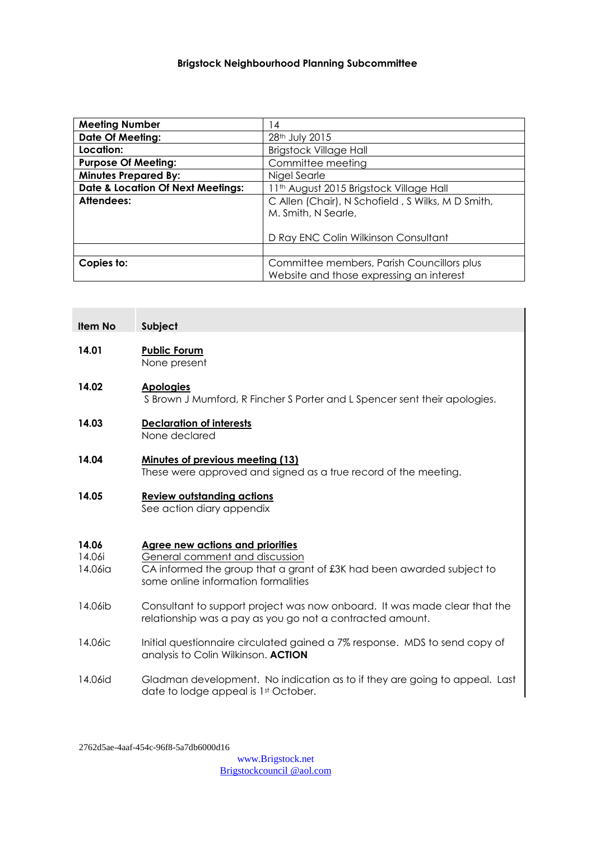### **Brigstock Neighbourhood Planning Subcommittee**

| <b>Meeting Number</b>                        | 14                                                                                     |
|----------------------------------------------|----------------------------------------------------------------------------------------|
| <b>Date Of Meeting:</b>                      | 28 <sup>th</sup> July 2015                                                             |
| Location:                                    | <b>Brigstock Village Hall</b>                                                          |
| <b>Purpose Of Meeting:</b>                   | Committee meeting                                                                      |
| <b>Minutes Prepared By:</b>                  | Nigel Searle                                                                           |
| <b>Date &amp; Location Of Next Meetings:</b> | 11th August 2015 Brigstock Village Hall                                                |
| Attendees:                                   | C Allen (Chair), N Schofield, S Wilks, M D Smith,<br>M. Smith, N Searle,               |
|                                              | D Ray ENC Colin Wilkinson Consultant                                                   |
|                                              |                                                                                        |
| Copies to:                                   | Committee members, Parish Councillors plus<br>Website and those expressing an interest |

| <b>Item No</b>             | Subject                                                                                                                                                                                   |
|----------------------------|-------------------------------------------------------------------------------------------------------------------------------------------------------------------------------------------|
| 14.01                      | <b>Public Forum</b><br>None present                                                                                                                                                       |
| 14.02                      | <b>Apologies</b><br>S Brown J Mumford, R Fincher S Porter and L Spencer sent their apologies.                                                                                             |
| 14.03                      | <b>Declaration of interests</b><br>None declared                                                                                                                                          |
| 14.04                      | <b>Minutes of previous meeting (13)</b><br>These were approved and signed as a true record of the meeting.                                                                                |
| 14.05                      | <b>Review outstanding actions</b><br>See action diary appendix                                                                                                                            |
| 14.06<br>14.06i<br>14.06ia | <b>Agree new actions and priorities</b><br>General comment and discussion<br>CA informed the group that a grant of £3K had been awarded subject to<br>some online information formalities |
| 14.06ib                    | Consultant to support project was now onboard. It was made clear that the<br>relationship was a pay as you go not a contracted amount.                                                    |
| 14.06ic                    | Initial questionnaire circulated gained a 7% response. MDS to send copy of<br>analysis to Colin Wilkinson. ACTION                                                                         |
| 14.06id                    | Gladman development. No indication as to if they are going to appeal. Last<br>date to lodge appeal is 1st October.                                                                        |

2762d5ae-4aaf-454c-96f8-5a7db6000d16

[www.Brigstock.net](http://www.brigstock.net/) Brigstockcouncil @aol.com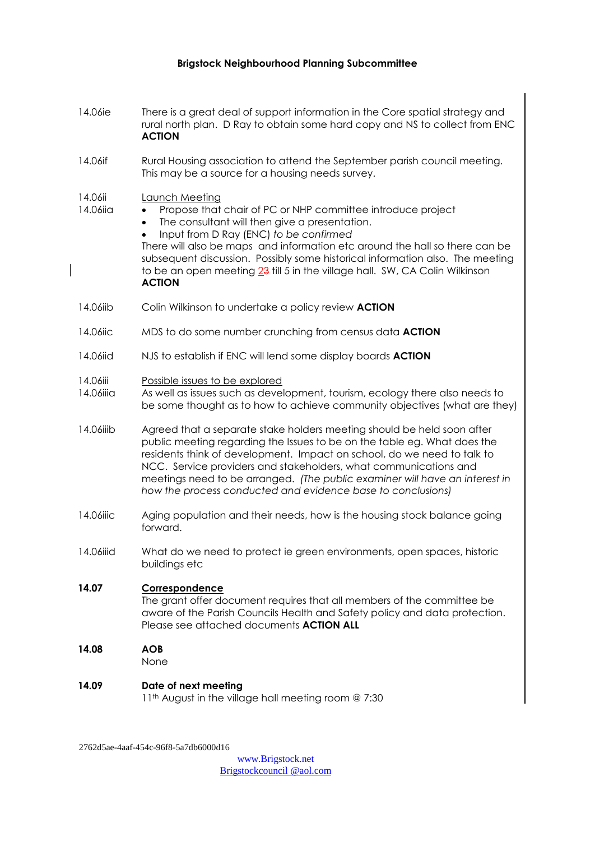#### **Brigstock Neighbourhood Planning Subcommittee**

14.06ie There is a great deal of support information in the Core spatial strategy and rural north plan. D Ray to obtain some hard copy and NS to collect from ENC **ACTION** 14.06if Rural Housing association to attend the September parish council meeting. This may be a source for a housing needs survey. 14.06ii Launch Meeting 14.06iig • Propose that chair of PC or NHP committee introduce project The consultant will then give a presentation. Input from D Ray (ENC) *to be confirmed* There will also be maps and information etc around the hall so there can be subsequent discussion. Possibly some historical information also. The meeting to be an open meeting 23 till 5 in the village hall. SW, CA Colin Wilkinson **ACTION** 14.06iib Colin Wilkinson to undertake a policy review **ACTION** 14.06iic MDS to do some number crunching from census data **ACTION** 14.06iid NJS to establish if ENC will lend some display boards **ACTION** 14.06iii Possible issues to be explored 14.06iiia As well as issues such as development, tourism, ecology there also needs to be some thought as to how to achieve community objectives (what are they) 14.06iiib Agreed that a separate stake holders meeting should be held soon after public meeting regarding the Issues to be on the table eg. What does the residents think of development. Impact on school, do we need to talk to NCC. Service providers and stakeholders, what communications and meetings need to be arranged. *(The public examiner will have an interest in how the process conducted and evidence base to conclusions)* 14.06iiic Aging population and their needs, how is the housing stock balance going forward. 14.06iiid What do we need to protect ie green environments, open spaces, historic buildings etc **14.07 Correspondence** The grant offer document requires that all members of the committee be aware of the Parish Councils Health and Safety policy and data protection. Please see attached documents **ACTION ALL 14.08 AOB**  None **14.09 Date of next meeting** 11<sup>th</sup> August in the village hall meeting room @ 7:30

2762d5ae-4aaf-454c-96f8-5a7db6000d16

[www.Brigstock.net](http://www.brigstock.net/) Brigstockcouncil @aol.com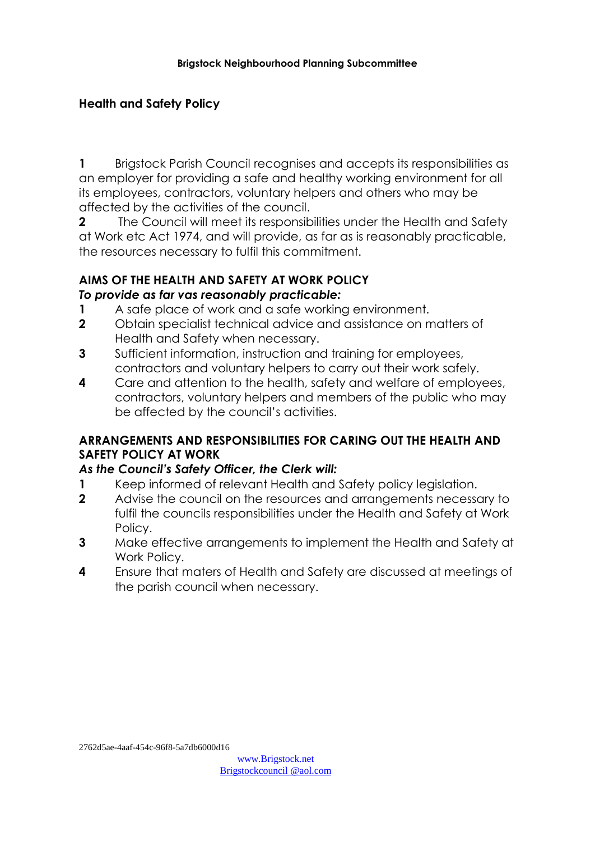# **Health and Safety Policy**

**1** Brigstock Parish Council recognises and accepts its responsibilities as an employer for providing a safe and healthy working environment for all its employees, contractors, voluntary helpers and others who may be affected by the activities of the council.

**2** The Council will meet its responsibilities under the Health and Safety at Work etc Act 1974, and will provide, as far as is reasonably practicable, the resources necessary to fulfil this commitment.

#### **AIMS OF THE HEALTH AND SAFETY AT WORK POLICY** *To provide as far vas reasonably practicable:*

- **1** A safe place of work and a safe working environment.
- **2** Obtain specialist technical advice and assistance on matters of Health and Safety when necessary.
- **3** Sufficient information, instruction and training for employees, contractors and voluntary helpers to carry out their work safely.
- **4** Care and attention to the health, safety and welfare of employees, contractors, voluntary helpers and members of the public who may be affected by the council's activities.

## **ARRANGEMENTS AND RESPONSIBILITIES FOR CARING OUT THE HEALTH AND SAFETY POLICY AT WORK**

#### *As the Council's Safety Officer, the Clerk will:*

- **1** Keep informed of relevant Health and Safety policy legislation.
- **2** Advise the council on the resources and arrangements necessary to fulfil the councils responsibilities under the Health and Safety at Work Policy.
- **3** Make effective arrangements to implement the Health and Safety at Work Policy.
- **4** Ensure that maters of Health and Safety are discussed at meetings of the parish council when necessary.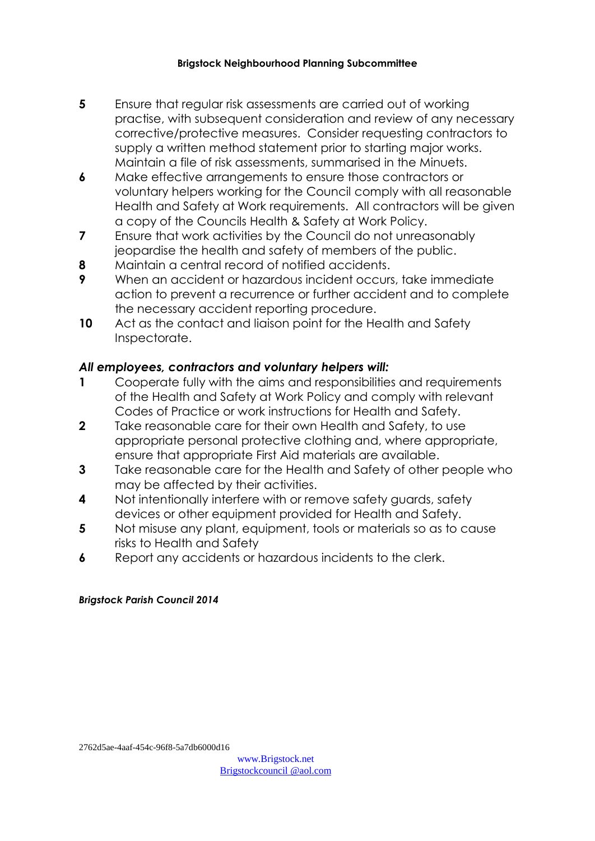#### **Brigstock Neighbourhood Planning Subcommittee**

- **5** Ensure that regular risk assessments are carried out of working practise, with subsequent consideration and review of any necessary corrective/protective measures. Consider requesting contractors to supply a written method statement prior to starting major works. Maintain a file of risk assessments, summarised in the Minuets.
- **6** Make effective arrangements to ensure those contractors or voluntary helpers working for the Council comply with all reasonable Health and Safety at Work requirements. All contractors will be given a copy of the Councils Health & Safety at Work Policy.
- **7** Ensure that work activities by the Council do not unreasonably jeopardise the health and safety of members of the public.
- **8** Maintain a central record of notified accidents.
- **9** When an accident or hazardous incident occurs, take immediate action to prevent a recurrence or further accident and to complete the necessary accident reporting procedure.
- **10** Act as the contact and liaison point for the Health and Safety Inspectorate.

#### *All employees, contractors and voluntary helpers will:*

- **1** Cooperate fully with the aims and responsibilities and requirements of the Health and Safety at Work Policy and comply with relevant Codes of Practice or work instructions for Health and Safety.
- **2** Take reasonable care for their own Health and Safety, to use appropriate personal protective clothing and, where appropriate, ensure that appropriate First Aid materials are available.
- **3** Take reasonable care for the Health and Safety of other people who may be affected by their activities.
- **4** Not intentionally interfere with or remove safety guards, safety devices or other equipment provided for Health and Safety.
- **5** Not misuse any plant, equipment, tools or materials so as to cause risks to Health and Safety
- **6** Report any accidents or hazardous incidents to the clerk.

#### *Brigstock Parish Council 2014*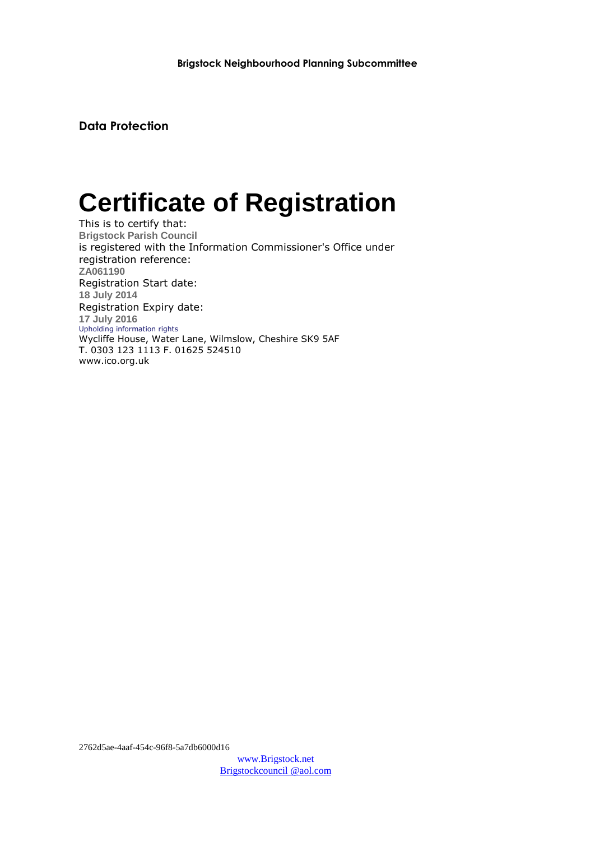**Data Protection**

# **Certificate of Registration**

This is to certify that: **Brigstock Parish Council** is registered with the Information Commissioner's Office under registration reference: **ZA061190** Registration Start date: **18 July 2014** Registration Expiry date: **17 July 2016** Upholding information rights Wycliffe House, Water Lane, Wilmslow, Cheshire SK9 5AF T. 0303 123 1113 F. 01625 524510 www.ico.org.uk

2762d5ae-4aaf-454c-96f8-5a7db6000d16

[www.Brigstock.net](http://www.brigstock.net/) Brigstockcouncil @aol.com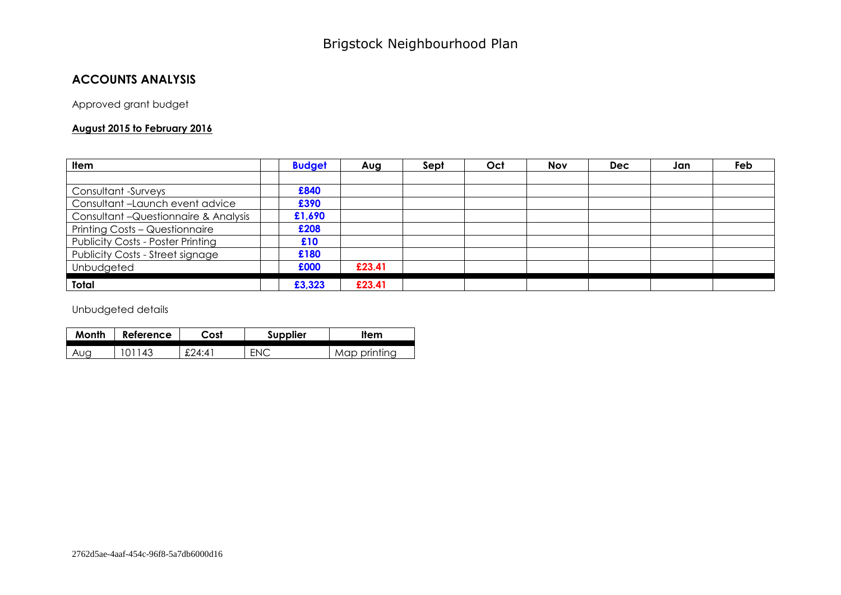### **ACCOUNTS ANALYSIS**

Approved grant budget

#### **August 2015 to February 2016**

| <b>Item</b>                              | <b>Budget</b> | Aug    | Sept | Oct | <b>Nov</b> | <b>Dec</b> | Jan | Feb |
|------------------------------------------|---------------|--------|------|-----|------------|------------|-----|-----|
|                                          |               |        |      |     |            |            |     |     |
| Consultant -Surveys                      | £840          |        |      |     |            |            |     |     |
| Consultant-Launch event advice           | £390          |        |      |     |            |            |     |     |
| Consultant - Questionnaire & Analysis    | £1,690        |        |      |     |            |            |     |     |
| Printing Costs - Questionnaire           | £208          |        |      |     |            |            |     |     |
| <b>Publicity Costs - Poster Printing</b> | £10           |        |      |     |            |            |     |     |
| Publicity Costs - Street signage         | £180          |        |      |     |            |            |     |     |
| Unbudgeted                               | £000          | £23.41 |      |     |            |            |     |     |
| Total                                    | £3,323        | £23.41 |      |     |            |            |     |     |

Unbudgeted details

| Month | Reference | Cost  | <b>Supplier</b> | <b>Item</b>    |
|-------|-----------|-------|-----------------|----------------|
| Auo   | 43        | £24:4 | ᇊ               | <u>ninting</u> |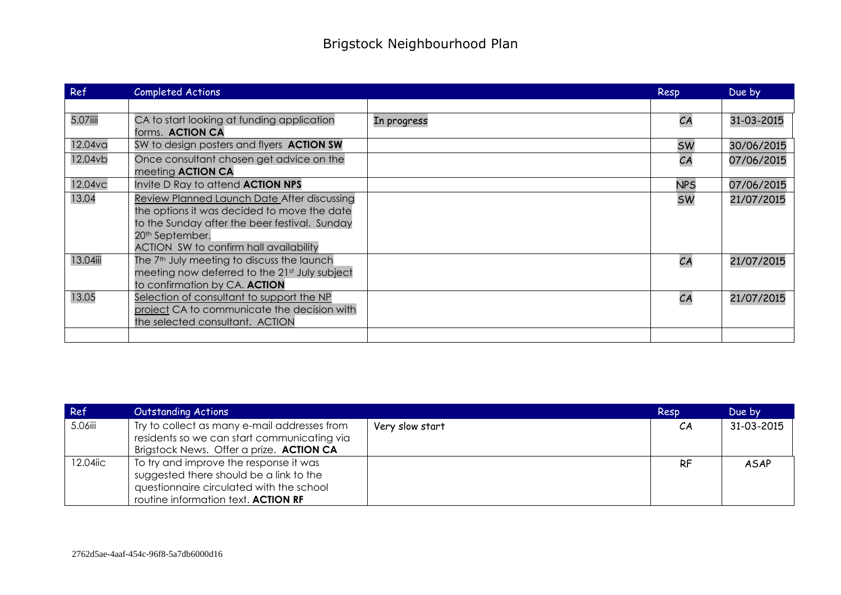| Ref      | Completed Actions                                                                                                                                                                                                           |             | Resp       | Due by     |
|----------|-----------------------------------------------------------------------------------------------------------------------------------------------------------------------------------------------------------------------------|-------------|------------|------------|
|          |                                                                                                                                                                                                                             |             |            |            |
| 5.07iiii | CA to start looking at funding application<br>forms. ACTION CA                                                                                                                                                              | In progress | CA         | 31-03-2015 |
| 12.04va  | SW to design posters and flyers ACTION SW                                                                                                                                                                                   |             | <b>SW</b>  | 30/06/2015 |
| 12.04vb  | Once consultant chosen get advice on the<br>meeting <b>ACTION CA</b>                                                                                                                                                        |             | CA         | 07/06/2015 |
| 12.04vc  | Invite D Ray to attend <b>ACTION NPS</b>                                                                                                                                                                                    |             | <b>NPS</b> | 07/06/2015 |
| 13.04    | Review Planned Launch Date After discussing<br>the options it was decided to move the date<br>to the Sunday after the beer festival. Sunday<br>20 <sup>th</sup> September.<br><b>ACTION SW to confirm hall availability</b> |             | <b>SW</b>  | 21/07/2015 |
| 13.04iii | The 7 <sup>th</sup> July meeting to discuss the launch<br>meeting now deferred to the 21st July subject<br>to confirmation by CA. ACTION                                                                                    |             | CA         | 21/07/2015 |
| 13.05    | Selection of consultant to support the NP<br>project CA to communicate the decision with<br>the selected consultant. ACTION                                                                                                 |             | CA         | 21/07/2015 |
|          |                                                                                                                                                                                                                             |             |            |            |

| Ref      | <b>Outstanding Actions</b>                                                                                                                                           |                 | Resp      | Due by      |
|----------|----------------------------------------------------------------------------------------------------------------------------------------------------------------------|-----------------|-----------|-------------|
| 5.06iii  | Try to collect as many e-mail addresses from<br>residents so we can start communicating via<br>Brigstock News. Offer a prize. ACTION CA                              | Very slow start | CA        | 31-03-2015  |
| 12.04iic | To try and improve the response it was<br>suggested there should be a link to the<br>questionnaire circulated with the school<br>routine information text. ACTION RF |                 | <b>RF</b> | <b>ASAP</b> |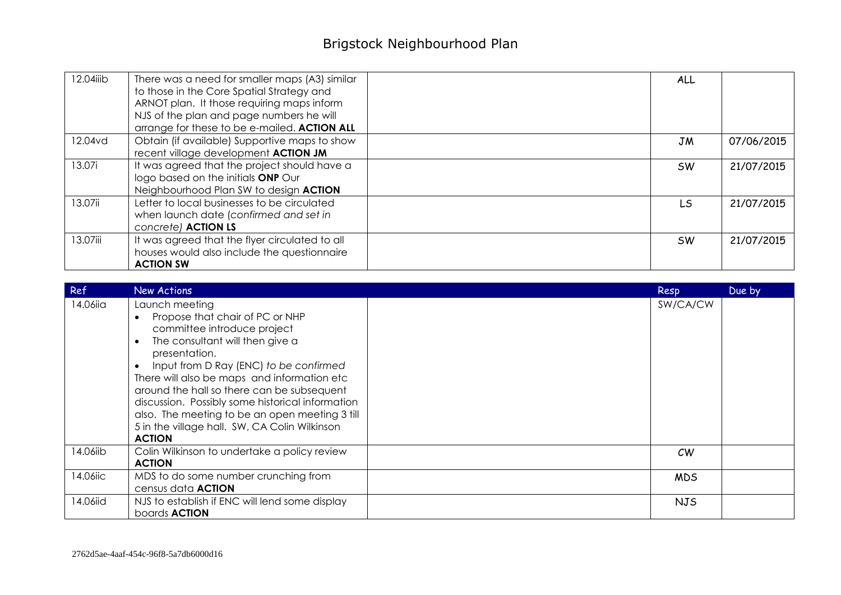| 12.04iiib | There was a need for smaller maps (A3) similar<br>to those in the Core Spatial Strategy and<br>ARNOT plan. It those requiring maps inform<br>NJS of the plan and page numbers he will<br>arrange for these to be e-mailed. ACTION ALL | <b>ALL</b> |            |
|-----------|---------------------------------------------------------------------------------------------------------------------------------------------------------------------------------------------------------------------------------------|------------|------------|
| 12.04vd   | Obtain (if available) Supportive maps to show<br>recent village development <b>ACTION JM</b>                                                                                                                                          | JM         | 07/06/2015 |
| 13.07i    | It was agreed that the project should have a<br>logo based on the initials ONP Our<br>Neighbourhood Plan SW to design ACTION                                                                                                          | <b>SW</b>  | 21/07/2015 |
| 13.07ii   | Letter to local businesses to be circulated<br>when launch date (confirmed and set in<br>concrete) ACTION LS                                                                                                                          | LS.        | 21/07/2015 |
| 13.07iii  | It was agreed that the flyer circulated to all<br>houses would also include the questionnaire<br><b>ACTION SW</b>                                                                                                                     | <b>SW</b>  | 21/07/2015 |

| Ref      | New Actions                                                                                                                                                                                                                                                                                                                                                                                                                                                                                | Resp       | Due by |
|----------|--------------------------------------------------------------------------------------------------------------------------------------------------------------------------------------------------------------------------------------------------------------------------------------------------------------------------------------------------------------------------------------------------------------------------------------------------------------------------------------------|------------|--------|
| 14.06iia | Launch meeting<br>Propose that chair of PC or NHP<br>$\bullet$<br>committee introduce project<br>The consultant will then give a<br>$\bullet$<br>presentation.<br>Input from D Ray (ENC) to be confirmed<br>$\bullet$<br>There will also be maps and information etc<br>around the hall so there can be subsequent<br>discussion. Possibly some historical information<br>also. The meeting to be an open meeting 3 till<br>5 in the village hall. SW, CA Colin Wilkinson<br><b>ACTION</b> | SW/CA/CW   |        |
| 14.06iib | Colin Wilkinson to undertake a policy review<br><b>ACTION</b>                                                                                                                                                                                                                                                                                                                                                                                                                              | CW         |        |
| 14.06iic | MDS to do some number crunching from<br>census data <b>ACTION</b>                                                                                                                                                                                                                                                                                                                                                                                                                          | <b>MDS</b> |        |
| 14.06iid | NJS to establish if ENC will lend some display<br>boards <b>ACTION</b>                                                                                                                                                                                                                                                                                                                                                                                                                     | <b>NJS</b> |        |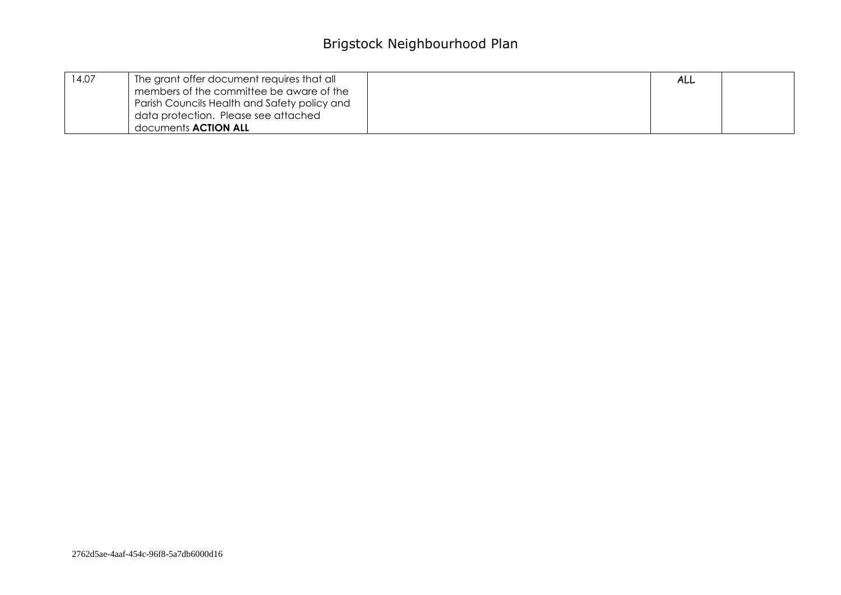| 14.07 | The grant offer document requires that all   | ALL |  |
|-------|----------------------------------------------|-----|--|
|       | members of the committee be aware of the     |     |  |
|       | Parish Councils Health and Safety policy and |     |  |
|       | data protection. Please see attached         |     |  |
|       | documents <b>ACTION ALL</b>                  |     |  |